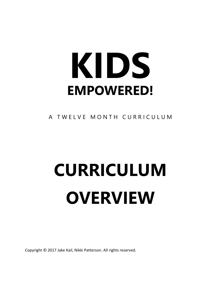# **KIDS EMPOWERED!**

A TWELVE MONTH CURRICULUM

# **CURRICULUM OVERVIEW**

Copyright © 2017 Jake Kail, Nikki Patterson. All rights reserved.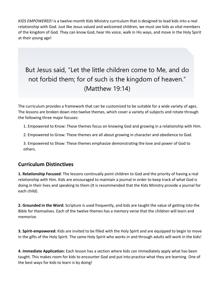*KIDS EMPOWERED!* is a twelve-month Kids Ministry curriculum that is designed to lead kids into a real relationship with God. Just like Jesus valued and welcomed children, we must see kids as vital members of the kingdom of God. They can know God, hear His voice, walk in His ways, and move in the Holy Spirit at their young age!

## But Jesus said, "Let the little children come to Me, and do not forbid them; for of such is the kingdom of heaven." (Matthew 19:14)

The curriculum provides a framework that can be customized to be suitable for a wide variety of ages. The lessons are broken down into twelve themes, which cover a variety of subjects and rotate through the following three major focuses:

1. Empowered to Know: These themes focus on knowing God and growing in a relationship with Him.

2. Empowered to Grow: These themes are all about growing in character and obedience to God.

3. Empowered to Show: These themes emphasize demonstrating the love and power of God to others.

## **Curriculum Distinctives**

**1. Relationship Focused**: The lessons continually point children to God and the priority of having a real relationship with Him. Kids are encouraged to maintain a journal in order to keep track of what God is doing in their lives and speaking to them (It is recommended that the Kids Ministry provide a journal for each child).

**2. Grounded in the Word:** Scripture is used frequently, and kids are taught the value of getting into the Bible for themselves. Each of the twelve themes has a memory verse that the children will learn and memorize.

**3. Spirit-empowered:** Kids are invited to be filled with the Holy Spirit and are equipped to begin to move in the gifts of the Holy Spirit. The same Holy Spirit who works in and through adults will work in the kids!

**4. Immediate Application:** Each lesson has a section where kids can immediately apply what has been taught. This makes room for kids to encounter God and put into practice what they are learning. One of the best ways for kids to learn is by doing!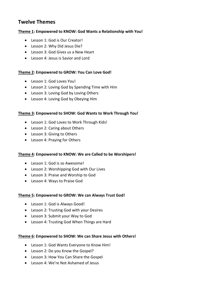## **Twelve Themes**

#### **Theme 1: Empowered to KNOW: God Wants a Relationship with You!**

- Lesson 1: God is Our Creator!
- Lesson 2: Why Did Jesus Die?
- Lesson 3: God Gives us a New Heart
- Lesson 4: Jesus is Savior and Lord

## **Theme 2: Empowered to GROW: You Can Love God!**

- Lesson 1: God Loves You!
- Lesson 2: Loving God by Spending Time with Him
- Lesson 3: Loving God by Loving Others
- Lesson 4: Loving God by Obeying Him

#### **Theme 3: Empowered to SHOW: God Wants to Work Through You!**

- Lesson 1: God Loves to Work Through Kids!
- Lesson 2: Caring about Others
- Lesson 3: Giving to Others
- Lesson 4: Praying for Others

#### **Theme 4: Empowered to KNOW: We are Called to be Worshipers!**

- Lesson 1: God is so Awesome!
- Lesson 2: Worshipping God with Our Lives
- Lesson 3: Praise and Worship to God
- Lesson 4: Ways to Praise God

#### **Theme 5: Empowered to GROW: We can Always Trust God!**

- Lesson 1: God is Always Good!
- Lesson 2: Trusting God with your Desires
- Lesson 3: Submit your Way to God
- Lesson 4: Trusting God When Things are Hard

#### **Theme 6: Empowered to SHOW: We can Share Jesus with Others!**

- Lesson 1: God Wants Everyone to Know Him!
- Lesson 2: Do you Know the Gospel?
- Lesson 3: How You Can Share the Gospel
- Lesson 4: We're Not Ashamed of Jesus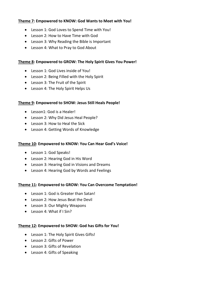## **Theme 7: Empowered to KNOW: God Wants to Meet with You!**

- Lesson 1: God Loves to Spend Time with You!
- Lesson 2: How to Have Time with God
- Lesson 3: Why Reading the Bible is Important
- Lesson 4: What to Pray to God About

## **Theme 8: Empowered to GROW: The Holy Spirit Gives You Power!**

- Lesson 1: God Lives inside of You!
- Lesson 2: Being Filled with the Holy Spirit
- Lesson 3: The Fruit of the Spirit
- Lesson 4: The Holy Spirit Helps Us

## **Theme 9: Empowered to SHOW: Jesus Still Heals People!**

- Lesson1: God is a Healer!
- Lesson 2: Why Did Jesus Heal People?
- Lesson 3: How to Heal the Sick
- Lesson 4: Getting Words of Knowledge

## **Theme 10: Empowered to KNOW: You Can Hear God's Voice!**

- Lesson 1: God Speaks!
- Lesson 2: Hearing God in His Word
- Lesson 3: Hearing God in Visions and Dreams
- Lesson 4: Hearing God by Words and Feelings

## **Theme 11: Empowered to GROW: You Can Overcome Temptation!**

- Lesson 1: God is Greater than Satan!
- Lesson 2: How Jesus Beat the Devil
- Lesson 3: Our Mighty Weapons
- Lesson 4: What if I Sin?

## **Theme 12: Empowered to SHOW: God has Gifts for You!**

- Lesson 1: The Holy Spirit Gives Gifts!
- Lesson 2: Gifts of Power
- Lesson 3: Gifts of Revelation
- Lesson 4: Gifts of Speaking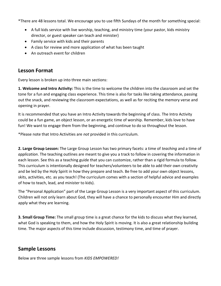\*There are 48 lessons total. We encourage you to use fifth Sundays of the month for something special:

- A full kids service with live worship, teaching, and ministry time (your pastor, kids ministry director, or guest speaker can teach and minister)
- Family service with kids and their parents
- A class for review and more application of what has been taught
- An outreach event for children

## **Lesson Format**

Every lesson is broken up into three main sections:

**1. Welcome and Intro Activity:** This is the time to welcome the children into the classroom and set the tone for a fun and engaging class experience. This time is also for tasks like taking attendance, passing out the snack, and reviewing the classroom expectations, as well as for reciting the memory verse and opening in prayer.

It is recommended that you have an Intro Activity towards the beginning of class. The Intro Activity could be a fun game, an object lesson, or an energetic time of worship. Remember, kids love to have fun! We want to engage them from the beginning, and continue to do so throughout the lesson.

\*Please note that Intro Activities are *not* provided in this curriculum.

**2. Large Group Lesson:** The Large Group Lesson has two primary facets: a time of *teaching* and a time of *application*. The teaching outlines are meant to give you a track to follow in covering the information in each lesson. See this as a teaching guide that you can customize, rather than a rigid formula to follow. This curriculum is intentionally designed for teachers/volunteers to be able to add their own creativity and be led by the Holy Spirit in how they prepare and teach. Be free to add your own object lessons, skits, activities, etc. as you teach! (The curriculum comes with a section of helpful advice and examples of how to teach, lead, and minister to kids).

The "Personal Application" part of the Large Group Lesson is a very important aspect of this curriculum. Children will not only learn about God, they will have a chance to personally encounter Him and directly apply what they are learning.

**3. Small Group Time:** The small group time is a great chance for the kids to discuss what they learned, what God is speaking to them, and how the Holy Spirit is moving. It is also a great relationship building time. The major aspects of this time include discussion, testimony time, and time of prayer.

## **Sample Lessons**

Below are three sample lessons from *KIDS EMPOWERED!*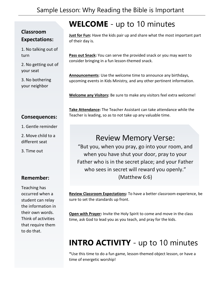## **Classroom Expectations:**

1. No talking out of turn

2. No getting out of your seat

3. No bothering your neighbor

# **WELCOME** - up to 10 minutes

**Just for Fun:** Have the kids pair up and share what the most important part of their day is.

**Pass out Snack:** You can serve the provided snack or you may want to consider bringing in a fun lesson-themed snack.

**Announcements**: Use the welcome time to announce any birthdays, upcoming events in Kids Ministry, and any other pertinent information.

**Welcome any Visitors:** Be sure to make any visitors feel extra welcome!

## **Consequences:**

- 1. Gentle reminder
- 2. Move child to a different seat
- 3. Time out

## **Remember:**

Teaching has occurred when a student can relay the information in their own words. Think of activities that require them to do that.

**Take Attendance:** The Teacher Assistant can take attendance while the Teacher is leading, so as to not take up any valuable time.

## Review Memory Verse:

"But you, when you pray, go into your room, and when you have shut your door, pray to your Father who is in the secret place; and your Father who sees in secret will reward you openly." (Matthew 6:6)

**Review Classroom Expectations:** To have a better classroom experience, be sure to set the standards up front.

**Open with Prayer:** Invite the Holy Spirit to come and move in the class time, ask God to lead you as you teach, and pray for the kids.

# **INTRO ACTIVITY** - up to 10 minutes

\*Use this time to do a fun game, lesson-themed object lesson, or have a time of energetic worship!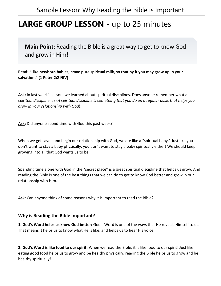## **LARGE GROUP LESSON** - up to 25 minutes

**Main Point:** Reading the Bible is a great way to get to know God and grow in Him!

**Read: "Like newborn babies, crave pure spiritual milk, so that by it you may grow up in your**  c**salvation." (1 Peter 2:2 NIV)**

**Ask:** In last week's lesson, we learned about spiritual disciplines. Does anyone remember what a *spiritual discipline* is? (*A spiritual discipline is something that you do on a regular basis that helps you grow in your relationship with God*).

**Ask:** Did anyone spend time with God this past week?

When we get saved and begin our relationship with God, we are like a "spiritual baby." Just like you don't want to stay a baby physically, you don't want to stay a baby spiritually either! We should keep growing into all that God wants us to be.

Spending time alone with God in the "secret place" is a great spiritual discipline that helps us grow. And reading the Bible is one of the best things that we can do to get to know God better and grow in our relationship with Him.

**Ask:** Can anyone think of some reasons why it is important to read the Bible?

## **Why is Reading the Bible Important?**

**1. God's Word helps us know God better:** God's Word is one of the ways that He reveals Himself to us. That means it helps us to know what He is like, and helps us to hear His voice.

**2. God's Word is like food to our spirit:** When we read the Bible, it is like food to our spirit! Just like eating good food helps us to grow and be healthy physically, reading the Bible helps us to grow and be healthy spiritually!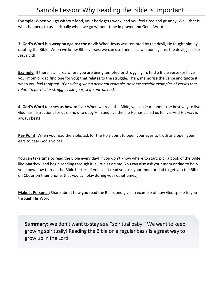## Sample Lesson: Why Reading the Bible is Important

**Example:** When you go without food, your body gets weak, and you feel tired and grumpy. Well, that is what happens to us spiritually when we go without time in prayer and God's Word!

**3. God's Word is a weapon against the devil:** When Jesus was tempted by the devil, He fought him by quoting the Bible. When we know Bible verses, we can use them as a weapon against the devil, just like Jesus did!

**Example:** If there is an area where you are being tempted or struggling in, find a Bible verse (or have your mom or dad find one for you) that relates to the struggle. Then, memorize the verse and quote it when you feel tempted! *(Consider giving a personal example, or some specific examples of verses that relate to particular struggles like fear, self-control, etc).* 

**4. God's Word teaches us how to live:** When we read the Bible, we can learn about the best way to live. God has instructions for us on how to obey Him and live the life He has called us to live. And His way is always best!

**Key Point:** When you read the Bible, ask for the Holy Spirit to open your eyes to truth and open your ears to hear God's voice!

You can take time to read the Bible every day! If you don't know where to start, pick a book of the Bible like Matthew and begin reading through it, a little at a time. You can also ask your mom or dad to help you know how to read the Bible better. (If you can't read yet, ask your mom or dad to get you the Bible on CD, or on their phone, that you can play during your quiet times).

**Make It Personal:** Share about how you read the Bible, and give an example of how God spoke to you through His Word.

**Summary:** We don't want to stay as a "spiritual baby." We want to keep growing spiritually! Reading the Bible on a regular basis is a great way to grow up in the Lord.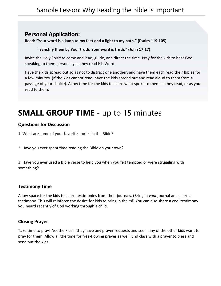## **Personal Application:**

**Read: "Your word is a lamp to my feet and a light to my path." (Psalm 119:105)**

## **"Sanctify them by Your truth. Your word is truth." (John 17:17)**

Invite the Holy Spirit to come and lead, guide, and direct the time. Pray for the kids to hear God speaking to them personally as they read His Word.

Have the kids spread out so as not to distract one another, and have them each read their Bibles for a few minutes. (If the kids cannot read, have the kids spread out and read aloud to them from a passage of your choice). Allow time for the kids to share what spoke to them as they read, or as you read to them.

# **SMALL GROUP TIME** - up to 15 minutes

## **Questions for Discussion**

1. What are some of your favorite stories in the Bible?

2. Have you ever spent time reading the Bible on your own?

3. Have you ever used a Bible verse to help you when you felt tempted or were struggling with something?

## **Testimony Time**

Allow space for the kids to share testimonies from their journals. (Bring in *your* journal and share a testimony. This will reinforce the desire for kids to bring in theirs!) You can also share a cool testimony you heard recently of God working through a child.

## **Closing Prayer**

Take time to pray! Ask the kids if they have any prayer requests and see if any of the other kids want to pray for them. Allow a little time for free-flowing prayer as well. End class with a prayer to bless and send out the kids.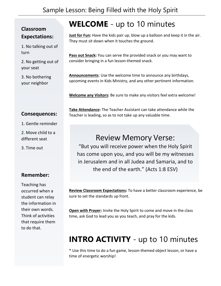## Sample Lesson: Being Filled with the Holy Spirit

## **Classroom Expectations:**

1. No talking out of turn

2. No getting out of your seat

3. No bothering your neighbor

## **Consequences:**

- 1. Gentle reminder
- 2. Move child to a different seat
- 3. Time out

## **Remember:**

Teaching has occurred when a student can relay the information in their own words. Think of activities that require them to do that.

**WELCOME** - up to 10 minutes

**Just for Fun:** Have the kids pair up, blow up a balloon and keep it in the air. They must sit down when it touches the ground.

**Pass out Snack:** You can serve the provided snack or you may want to consider bringing in a fun lesson-themed snack.

**Announcements**: Use the welcome time to announce any birthdays, upcoming events in Kids Ministry, and any other pertinent information.

**Welcome any Visitors:** Be sure to make any visitors feel extra welcome!

**Take Attendance:** The Teacher Assistant can take attendance while the Teacher is leading, so as to not take up any valuable time.

## Review Memory Verse:

"But you will receive power when the Holy Spirit has come upon you, and you will be my witnesses in Jerusalem and in all Judea and Samaria, and to the end of the earth." (Acts 1:8 ESV)

**Review Classroom Expectations:** To have a better classroom experience, be sure to set the standards up front.

**Open with Prayer:** Invite the Holy Spirit to come and move in the class time, ask God to lead you as you teach, and pray for the kids.

# **INTRO ACTIVITY** - up to 10 minutes

\* Use this time to do a fun game, lesson-themed object lesson, or have a time of energetic worship!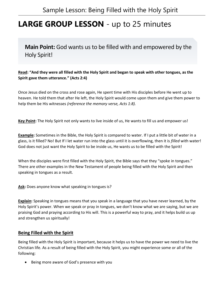## **LARGE GROUP LESSON** - up to 25 minutes

**Main Point:** God wants us to be filled with and empowered by the Holy Spirit!

**Read: "And they were all filled with the Holy Spirit and began to speak with other tongues, as the**  c**Spirit gave them utterance." (Acts 2:4)**

Once Jesus died on the cross and rose again, He spent time with His disciples before He went up to heaven. He told them that after He left, the Holy Spirit would come upon them and give them power to help them be His witnesses *(reference the memory verse, Acts 1:8).*

**Key Point:** The Holy Spirit not only wants to live inside of us, He wants to fill us and empower us!

**Example:** Sometimes in the Bible, the Holy Spirit is compared to water. If I put a little bit of water in a glass, is it filled? No! But If I let water run into the glass until it is overflowing, then it is *filled* with water! God does not just want the Holy Spirit to be inside us, He wants us to be filled with the Spirit!

When the disciples were first filled with the Holy Spirit, the Bible says that they "spoke in tongues." There are other examples in the New Testament of people being filled with the Holy Spirit and then speaking in tongues as a result.

**Ask:** Does anyone know what speaking in tongues is?

**Explain:** Speaking in tongues means that you speak in a language that you have never learned, by the Holy Spirit's power. When we speak or pray in tongues, we don't know what we are saying, but we are praising God and praying according to His will. This is a powerful way to pray, and it helps build us up and strengthen us spiritually!

## **Being Filled with the Spirit**

Being filled with the Holy Spirit is important, because it helps us to have the power we need to live the Christian life. As a result of being filled with the Holy Spirit, you might experience some or all of the following:

• Being more aware of God's presence with you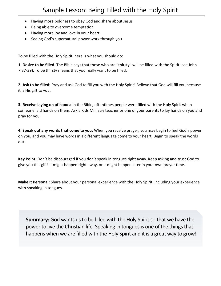- Having more boldness to obey God and share about Jesus
- Being able to overcome temptation
- Having more joy and love in your heart
- Seeing God's supernatural power work through you

To be filled with the Holy Spirit, here is what you should do:

**1. Desire to be filled**: The Bible says that those who are "thirsty" will be filled with the Spirit (see John 7:37-39). To be thirsty means that you really want to be filled.

**2. Ask to be filled:** Pray and ask God to fill you with the Holy Spirit! Believe that God will fill you because it is His gift to you.

**3. Receive laying on of hands:** In the Bible, oftentimes people were filled with the Holy Spirit when someone laid hands on them. Ask a Kids Ministry teacher or one of your parents to lay hands on you and pray for you.

**4. Speak out any words that come to you:** When you receive prayer, you may begin to feel God's power on you, and you may have words in a different language come to your heart. Begin to speak the words out!

**Key Point:** Don't be discouraged if you don't speak in tongues right away. Keep asking and trust God to give you this gift! It might happen right away, or it might happen later in your own prayer time.

**Make It Personal:** Share about your personal experience with the Holy Spirit, including your experience with speaking in tongues.

**Summary:** God wants us to be filled with the Holy Spirit so that we have the power to live the Christian life. Speaking in tongues is one of the things that happens when we are filled with the Holy Spirit and it is a great way to grow!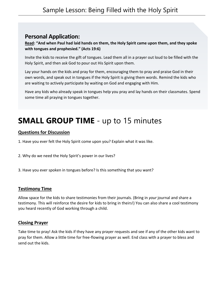## **Personal Application:**

**Read: "And when Paul had laid hands on them, the Holy Spirit came upon them, and they spoke with tongues and prophesied." (Acts 19:6)**

Invite the kids to receive the gift of tongues. Lead them all in a prayer out loud to be filled with the Holy Spirit, and then ask God to pour out His Spirit upon them.

Lay your hands on the kids and pray for them, encouraging them to pray and praise God in their own words, and speak out in tongues if the Holy Spirit is giving them words. Remind the kids who are waiting to actively participate by waiting on God and engaging with Him.

Have any kids who already speak in tongues help you pray and lay hands on their classmates. Spend some time all praying in tongues together.

# **SMALL GROUP TIME** - up to 15 minutes

## **Questions for Discussion**

1. Have you ever felt the Holy Spirit come upon you? Explain what it was like.

2. Why do we need the Holy Spirit's power in our lives?

3. Have you ever spoken in tongues before? Is this something that you want?

## **Testimony Time**

Allow space for the kids to share testimonies from their journals. (Bring in *your* journal and share a testimony. This will reinforce the desire for kids to bring in theirs!) You can also share a cool testimony you heard recently of God working through a child.

## **Closing Prayer**

Take time to pray! Ask the kids if they have any prayer requests and see if any of the other kids want to pray for them. Allow a little time for free-flowing prayer as well. End class with a prayer to bless and send out the kids.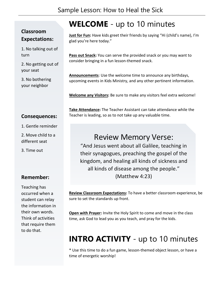## **Classroom Expectations:**

1. No talking out of turn

2. No getting out of your seat

3. No bothering your neighbor

# **WELCOME** - up to 10 minutes

**Just for Fun:** Have kids greet their friends by saying "Hi (child's name), I'm glad you're here today."

**Pass out Snack:** You can serve the provided snack or you may want to consider bringing in a fun lesson-themed snack.

**Announcements**: Use the welcome time to announce any birthdays, upcoming events in Kids Ministry, and any other pertinent information.

**Welcome any Visitors:** Be sure to make any visitors feel extra welcome!

## **Consequences:**

- 1. Gentle reminder
- 2. Move child to a different seat
- 3. Time out

## **Remember:**

Teaching has occurred when a student can relay the information in their own words. Think of activities that require them to do that.

**Take Attendance:** The Teacher Assistant can take attendance while the Teacher is leading, so as to not take up any valuable time.

## Review Memory Verse:

"And Jesus went about all Galilee, teaching in their synagogues, preaching the gospel of the kingdom, and healing all kinds of sickness and all kinds of disease among the people." (Matthew 4:23)

**Review Classroom Expectations:** To have a better classroom experience, be sure to set the standards up front.

**Open with Prayer:** Invite the Holy Spirit to come and move in the class time, ask God to lead you as you teach, and pray for the kids.

# **INTRO ACTIVITY** - up to 10 minutes

\* Use this time to do a fun game, lesson-themed object lesson, or have a time of energetic worship!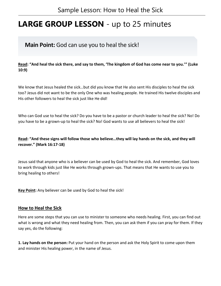# **LARGE GROUP LESSON** - up to 25 minutes

## **Main Point:** God can use you to heal the sick!

**Read: "And heal the sick there, and say to them, 'The kingdom of God has come near to you.'" (Luke**  c**10:9)**

We know that Jesus healed the sick…but did you know that He also sent His disciples to heal the sick too? Jesus did not want to be the only One who was healing people. He trained His twelve disciples and His other followers to heal the sick just like He did!

Who can God use to heal the sick? Do you have to be a pastor or church leader to heal the sick? No! Do you have to be a grown-up to heal the sick? No! God wants to use all believers to heal the sick!

## **Read: "And these signs will follow those who believe…they will lay hands on the sick, and they will recover." (Mark 16:17-18)**

Jesus said that anyone who is a believer can be used by God to heal the sick. And remember, God loves to work through kids just like He works through grown-ups. That means that He wants to use you to bring healing to others!

**Key Point:** Any believer can be used by God to heal the sick!

## **How to Heal the Sick**

Here are some steps that you can use to minister to someone who needs healing. First, you can find out what is wrong and what they need healing from. Then, you can ask them if you can pray for them. If they say yes, do the following:

**1. Lay hands on the person:** Put your hand on the person and ask the Holy Spirit to come upon them and minister His healing power, in the name of Jesus.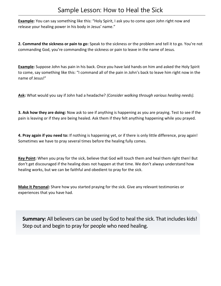**Example:** You can say something like this: "Holy Spirit, I ask you to come upon John right now and release your healing power in his body in Jesus' name."

**2. Command the sickness or pain to go:** Speak to the sickness or the problem and tell it to go. You're not commanding God, you're commanding the sickness or pain to leave in the name of Jesus.

**Example:** Suppose John has pain in his back. Once you have laid hands on him and asked the Holy Spirit to come, say something like this: "I command all of the pain in John's back to leave him right now in the name of Jesus!"

**Ask:** What would you say if John had a headache? *(Consider walking through various healing needs).*

**3. Ask how they are doing:** Now ask to see if anything is happening as you are praying. Test to see if the pain is leaving or if they are being healed. Ask them if they felt anything happening while you prayed.

**4. Pray again if you need to:** If nothing is happening yet, or if there is only little difference, pray again! Sometimes we have to pray several times before the healing fully comes.

**Key Point:** When you pray for the sick, believe that God will touch them and heal them right then! But don't get discouraged if the healing does not happen at that time. We don't always understand how healing works, but we can be faithful and obedient to pray for the sick.

**Make It Personal:** Share how you started praying for the sick. Give any relevant testimonies or experiences that you have had.

**Summary:** All believers can be used by God to heal the sick. That includes kids! Step out and begin to pray for people who need healing.